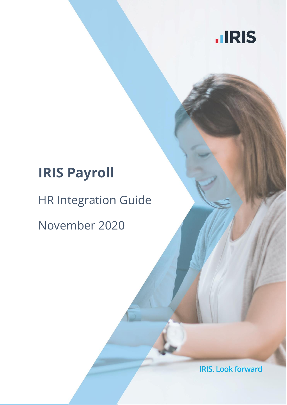

# **IRIS Payroll**

# HR Integration Guide

November 2020

**IRIS. Look forward**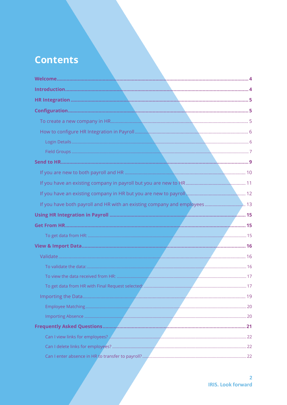## **Contents**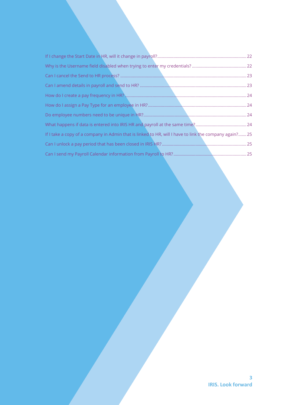| If I take a copy of a company in Admin that is linked to HR, will I have to link the company again? 25 |  |
|--------------------------------------------------------------------------------------------------------|--|
|                                                                                                        |  |
|                                                                                                        |  |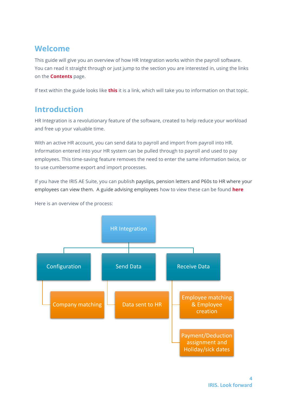## <span id="page-3-0"></span>**Welcome**

This guide will give you an overview of how HR Integration works within the payroll software. You can read it straight through or just jump to the section you are interested in, using the links on the **Contents** page.

If text within the guide looks like **this** it is a link, which will take you to information on that topic.

## <span id="page-3-1"></span>**Introduction**

HR Integration is a revolutionary feature of the software, created to help reduce your workload and free up your valuable time.

With an active HR account, you can send data to payroll and import from payroll into HR. Information entered into your HR system can be pulled through to payroll and used to pay employees. This time-saving feature removes the need to enter the same information twice, or to use cumbersome export and import processes.

If you have the IRIS AE Suite, you can publish payslips, pension letters and P60s to HR where your employees can view them. A guide advising employees how to view these can be found **[here](https://www.iris.co.uk/EmpGuide)**



Here is an overview of the process: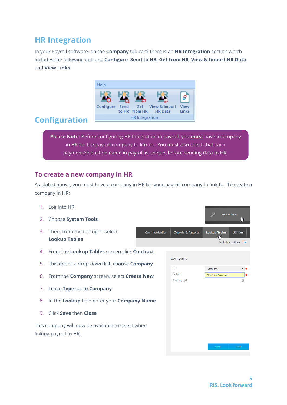## <span id="page-4-0"></span>**HR Integration**

In your Payroll software, on the **Company** tab card there is an **HR Integration** section which includes the following options: **Configure**; **Send to HR**; **Get from HR**, **View & Import HR Data** and **View Links**.



## <span id="page-4-1"></span>**Configuration**

**Please Note**: Before configuring HR Integration in payroll, you **must** have a company in HR for the payroll company to link to. You must also check that each payment/deduction name in payroll is unique, before sending data to HR.

## <span id="page-4-2"></span>**To create a new company in HR**

As stated above, you must have a company in HR for your payroll company to link to. To create a company in HR:

- 1. Log into HR
- 2. Choose **System Tools**
- 3. Then, from the top right, select **Lookup Tables**
- 4. From the **Lookup Tables** screen click **Contract**
- 5. This opens a drop-down list, choose **Company**
- 6. From the **Company** screen, select **Create New**
- 7. Leave **Type** set to **Company**
- 8. In the **Lookup** field enter your **Company Name**
- 9. Click **Save** then **Close**

This company will now be available to select when linking payroll to HR.



System Tools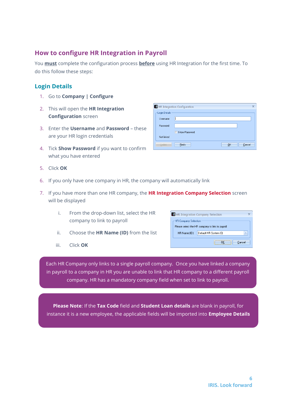## <span id="page-5-0"></span>**How to configure HR Integration in Payroll**

You **must** complete the configuration process **before** using HR Integration for the first time. To do this follow these steps:

**11** HR Integration Configuration

П

 $\boxed{\phantom{a}}$  Unlink  $\phantom{a}$  **Fields** 

Show Password

-<br>Login Details Username

Password

Not linked

## <span id="page-5-1"></span>**Login Details**

- 1. Go to **Company | Configure**
- 2. This will open the **HR Integration Configuration** screen
- 3. Enter the **Username** and **Password** these are your HR login credentials
- 4. Tick **Show Password** if you want to confirm what you have entered
- 5. Click **OK**
- 6. If you only have one company in HR, the company will automatically link
- 7. If you have more than one HR company, the **[HR Integration Company Selection](#page-5-2)** screen will be displayed
	- i. From the drop-down list, select the HR company to link to payroll
	- ii. Choose the **HR Name (ID)** from the list
	- iii. Click **OK**

|                             | <b>In HR Integration Company Selection</b>      |  |
|-----------------------------|-------------------------------------------------|--|
| <b>HR Company Selection</b> |                                                 |  |
|                             | Please select the HR company to link to payroll |  |
| HR Name (ID)                | Default HR System (0)                           |  |
|                             | Cancel                                          |  |

**OK** Cancel

<span id="page-5-2"></span>Each HR Company only links to a single payroll company. Once you have linked a company in payroll to a company in HR you are unable to link that HR company to a different payroll company. HR has a mandatory company field when set to link to payroll.

<span id="page-5-3"></span>**Please Note**: If the **Tax Code** field and **Student Loan details** are blank in payroll, for instance it is a new employee, the applicable fields will be imported into **Employee Details**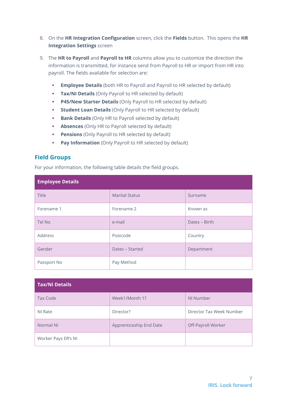- 8. On the **HR Integration Configuration** screen, click the **Fields** button. This opens the **HR Integration Settings** screen
- 9. The **HR to Payroll** and **Payroll to HR** columns allow you to customize the direction the information is transmitted, for instance send from Payroll to HR or import from HR into payroll. The fields available for selection are:
	- **Employee Details** (both HR to Payroll and Payroll to HR selected by default)
	- **Tax/NI Details** (Only Payroll to HR selected by default)
	- **P45/New Starter Details** (Only Payroll to HR selected by default)
	- **Student Loan Details** (Only Payroll to HR selected by default)
	- **Bank Details** (Only HR to Payroll selected by default)
	- **Absences** (Only HR to Payroll selected by default)
	- **Pensions** (Only Payroll to HR selected by default)
	- **Pay Information** (Only Payroll to HR selected by default)

## <span id="page-6-0"></span>**Field Groups**

For your information, the following table details the field groups.

| <b>Employee Details</b> |                       |               |
|-------------------------|-----------------------|---------------|
| <b>Title</b>            | <b>Marital Status</b> | Surname       |
| Forename 1              | Forename 2            | Known as      |
| Tel No                  | e-mail                | Dates - Birth |
| Address                 | Postcode              | Country       |
| Gender                  | Dates - Started       | Department    |
| Passport No             | Pay Method            |               |

| <b>Tax/NI Details</b> |                         |                          |
|-----------------------|-------------------------|--------------------------|
| Tax Code              | Week1/Month 1?          | NI Number                |
| NI Rate               | Director?               | Director Tax Week Number |
| Normal NI             | Apprenticeship End Date | Off-Payroll Worker       |
| Worker Pays ER's NI   |                         |                          |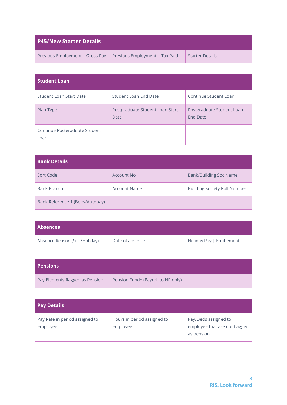| P45/New Starter Details ˈ                                        |                        |
|------------------------------------------------------------------|------------------------|
| Previous Employment – Gross Pay   Previous Employment - Tax Paid | <b>Starter Details</b> |

| <b>Student Loan</b>                   |                                         |                                              |
|---------------------------------------|-----------------------------------------|----------------------------------------------|
| Student Loan Start Date               | Student Loan End Date                   | Continue Student Loan                        |
| Plan Type                             | Postgraduate Student Loan Start<br>Date | Postgraduate Student Loan<br><b>End Date</b> |
| Continue Postgraduate Student<br>Loan |                                         |                                              |

| <b>Bank Details</b>             |                     |                                     |
|---------------------------------|---------------------|-------------------------------------|
| Sort Code                       | Account No          | <b>Bank/Building Soc Name</b>       |
| Bank Branch                     | <b>Account Name</b> | <b>Building Society Roll Number</b> |
| Bank Reference 1 (Bobs/Autopay) |                     |                                     |

| Absences                      |                 |                           |
|-------------------------------|-----------------|---------------------------|
| Absence Reason (Sick/Holiday) | Date of absence | Holiday Pay   Entitlement |

| $\blacksquare$ Pensions         |                                    |  |
|---------------------------------|------------------------------------|--|
| Pay Elements flagged as Pension | Pension Fund* (Payroll to HR only) |  |

| <b>Pay Details</b>                         |                                         |                                                                     |
|--------------------------------------------|-----------------------------------------|---------------------------------------------------------------------|
| Pay Rate in period assigned to<br>employee | Hours in period assigned to<br>employee | Pay/Deds assigned to<br>employee that are not flagged<br>as pension |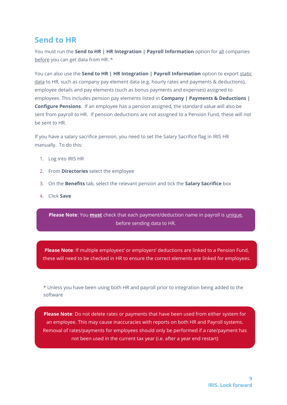## <span id="page-8-0"></span>**Send to HR**

You must run the **Send to HR | HR Integration | Payroll Information** option for all companies before you can get data from HR. \*

You can also use the **Send to HR | HR Integration | Payroll Information** option to export static data to HR, such as company pay element data (e.g. hourly rates and payments & deductions), employee details and pay elements (such as bonus payments and expenses) assigned to employees. This includes pension pay elements listed in **Company | Payments & Deductions | Configure Pensions**. If an employee has a pension assigned, the standard value will also be sent from payroll to HR. If pension deductions are not assigned to a Pension Fund, these will not be sent to HR.

If you have a salary sacrifice pension, you need to set the Salary Sacrifice flag in IRIS HR manually. To do this:

- 1. Log into IRIS HR
- 2. From **Directories** select the employee
- 3. On the **Benefits** tab, select the relevant pension and tick the **Salary Sacrifice** box
- 4. Click **Save**

**Please Note**: You **must** check that each payment/deduction name in payroll is unique, before sending data to HR.

**Please Note**: If multiple employees' or employers' deductions are linked to a Pension Fund, these will need to be checked in HR to ensure the correct elements are linked for employees.

\* Unless you have been using both HR and payroll prior to integration being added to the software

**Please Note**: Do not delete rates or payments that have been used from either system for an employee. This may cause inaccuracies with reports on both HR and Payroll systems. Removal of rates/payments for employees should only be performed if a rate/payment has not been used in the current tax year (i.e. after a year end restart)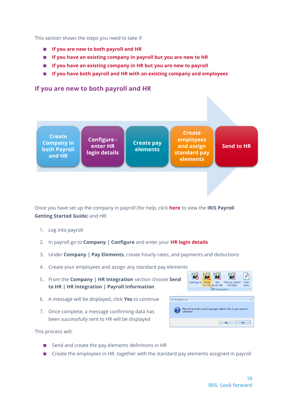This section shows the steps you need to take if:

- **[If you are new to both payroll and HR](#page-9-0)**
- **[If you have an existing company in payroll but you are new to HR](#page-10-0)**
- **[If you have an existing company in HR but you are new to payroll](#page-11-0)**
- **[If you have both payroll and HR with an existing company and employees](#page-10-1)**

## <span id="page-9-0"></span>**If you are new to both payroll and HR**



Once you have set up the company in payroll (for help, click **[here](https://www.iris.co.uk/assets/Uploads/SME-Support/Support-Documents/IPB/Apr-18/IRIS-Payroll-Business-Apr-18-Getting-Started-Guide.pdf)** to view the **IRIS Payroll Getting Started Guide**) and HR:

- 1. Log into payroll
- 2. In payroll go to **Company | Configure** and enter your **[HR login details](#page-5-1)**
- 3. Under **Company | Pay Elements**, create hourly rates, and payments and deductions
- 4. Create your employees and assign any standard pay elements
- 5. From the **Company | HR Integration** section choose **Send to HR | HR Integration | Payroll Information**
- 6. A message will be displayed, click **Yes** to continue
- 7. Once complete, a message confirming data has been successfully sent to HR will be displayed

This process will:

- Send and create the pay elements definitions in HR
- Create the employees in HR, together with the standard pay elements assigned in payroll



| HR Integration                                                              |  |
|-----------------------------------------------------------------------------|--|
| This will send all current employee data to HR, do you want to<br>continue? |  |
| <b>Yes</b><br>No                                                            |  |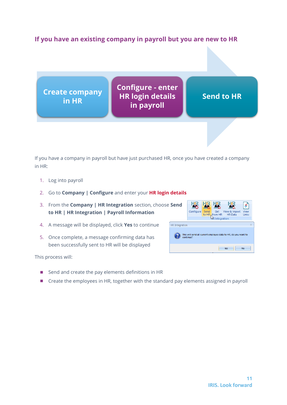## <span id="page-10-0"></span>**If you have an existing company in payroll but you are new to HR**

**Create company in HR Configure - enter HR login details in payroll Send to HR**

If you have a company in payroll but have just purchased HR, once you have created a company in HR:

- 1. Log into payroll
- 2. Go to **Company | Configure** and enter your **[HR login details](#page-5-1)**
- 3. From the **Company | HR Integration** section, choose **Send to HR | HR Integration | Payroll Information**
- 4. A message will be displayed, click **Yes** to continue
- 5. Once complete, a message confirming data has been successfully sent to HR will be displayed

This process will:

- Send and create the pay elements definitions in HR
- <span id="page-10-1"></span>■ Create the employees in HR, together with the standard pay elements assigned in payroll

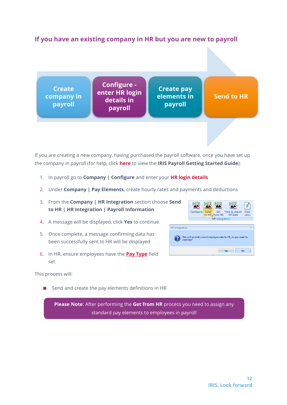## <span id="page-11-0"></span>**If you have an existing company in HR but you are new to payroll**



If you are creating a new company, having purchased the payroll software, once you have set up the company in payroll (for help, click **[here](https://www.iris.co.uk/assets/Uploads/SME-Support/Support-Documents/IPB/Apr-18/IRIS-Payroll-Business-Apr-18-Getting-Started-Guide.pdf)** to view the **IRIS Payroll Getting Started Guide**):

- 1. In payroll go to **Company | Configure** and enter your **[HR login details](#page-5-1)**
- 2. Under **Company | Pay Elements**, create hourly rates and payments and deductions
- 3. From the **Company | HR Integration** section choose **Send to HR | HR Integration | Payroll Information**
- 4. A message will be displayed, click **Yes** to continue
- 5. Once complete, a message confirming data has been successfully sent to HR will be displayed
- 6. In HR, ensure employees have the **[Pay Type](#page-23-1)** field set

#### This process will:

■ Send and create the pay elements definitions in HR

**Please Note**: After performing the **[Get from HR](#page-14-1)** process you need to assign any standard pay elements to employees in payroll

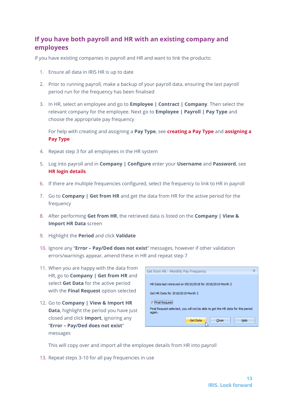## <span id="page-12-0"></span>**If you have both payroll and HR with an existing company and employees**

If you have existing companies in payroll and HR and want to link the products:

- 1. Ensure all data in IRIS HR is up to date
- 2. Prior to running payroll, make a backup of your payroll data, ensuring the last payroll period run for the frequency has been finalised
- 3. In HR, select an employee and go to **Employee | Contract | Company**. Then select the relevant company for the employee. Next go to **Employee | Payroll | Pay Type** and choose the appropriate pay frequency

For help with creating and assigning a **Pay Type**, see **[creating a Pay Type](#page-23-0)** and **[assigning a](#page-23-1)  [Pay Type](#page-23-1)**

- 4. Repeat step 3 for all employees in the HR system
- 5. Log into payroll and in **Company | Configure** enter your **Username** and **Password**, see **[HR login details](#page-5-1)**
- 6. If there are multiple frequencies configured, select the frequency to link to HR in payroll
- 7. Go to **Company | Get from HR** and get the data from HR for the active period for the frequency
- 8. After performing **Get from HR**, the retrieved data is listed on the **Company | View & Import HR Data** screen
- 9. Highlight the **Period** and click **Validate**
- 10. Ignore any "**Error – Pay/Ded does not exist**" messages, however if other validation errors/warnings appear, amend these in HR and repeat step 7
- 11. When you are happy with the data from HR, go to **Company | Get from HR** and select **Get Data** for the active period with the **Final Request** option selected
- 12. Go to **Company | View & Import HR Data**, highlight the period you have just closed and click **Import**, ignoring any "**Error – Pay/Ded does not exist**" messages

| Get from HR - Monthly Pay Frequency                                                       | x |
|-------------------------------------------------------------------------------------------|---|
|                                                                                           |   |
| HR Data last retrieved on 09/10/2018 for 2018/2019 Month 2                                |   |
| Get HR Data for 2018/2019 Month 2                                                         |   |
| <b>√ Final Request</b>                                                                    |   |
| Final Request selected, you will not be able to get the HR data for this period<br>again. |   |
| <b>Get Data</b><br>Close<br>Help                                                          |   |

This will copy over and import all the employee details from HR into payroll

13. Repeat steps 3-10 for all pay frequencies in use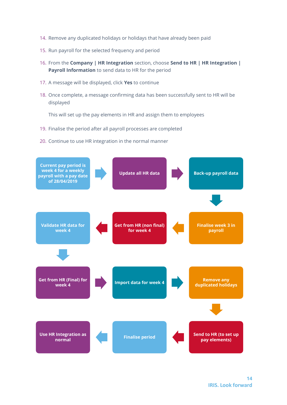- 14. Remove any duplicated holidays or holidays that have already been paid
- 15. Run payroll for the selected frequency and period
- 16. From the **Company | HR Integration** section, choose **Send to HR | HR Integration | Payroll Information** to send data to HR for the period
- 17. A message will be displayed, click **Yes** to continue
- 18. Once complete, a message confirming data has been successfully sent to HR will be displayed

This will set up the pay elements in HR and assign them to employees

- 19. Finalise the period after all payroll processes are completed
- 20. Continue to use HR integration in the normal manner

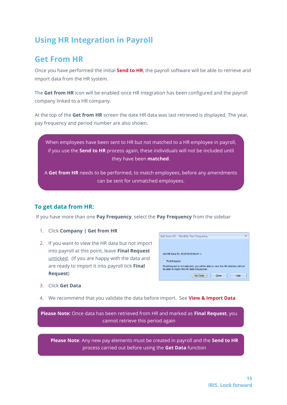## <span id="page-14-0"></span>**Using HR Integration in Payroll**

## <span id="page-14-1"></span>**Get From HR**

Once you have performed the initial **[Send to HR](#page-5-3)**, the payroll software will be able to retrieve and import data from the HR system.

The **Get from HR** icon will be enabled once HR Integration has been configured and the payroll company linked to a HR company.

At the top of the **Get from HR** screen the date HR data was last retrieved is displayed. The year, pay frequency and period number are also shown.



## <span id="page-14-2"></span>**To get data from HR:**

If you have more than one **Pay Frequency**, select the **Pay Frequency** from the sidebar

- 1. Click **Company | Get from HR**
- 2. If you want to view the HR data but not import into payroll at this point, leave **Final Request** unticked. (If you are happy with the data and are ready to import it into payroll tick **Final Request**)

| Get from HR - Monthly Pay Frequency                                                                                             |  |
|---------------------------------------------------------------------------------------------------------------------------------|--|
|                                                                                                                                 |  |
|                                                                                                                                 |  |
| Get HR Data for 2018/2019 Month 1                                                                                               |  |
| Final Request                                                                                                                   |  |
| Final Request is not selected, you will be able to view the HR data but will not<br>be able to import the HR data into payroll. |  |
| Close<br>Help<br>lata                                                                                                           |  |

- 3. Click **Get Data**
- 4. We recommend that you validate the data before import. See **[View & Import Data](#page-14-3)**

<span id="page-14-3"></span>**Please Note:** Once data has been retrieved from HR and marked as **Final Request**, you cannot retrieve this period again

**Please Note**: Any new pay elements must be created in payroll and the **Send to HR** process carried out before using the **Get Data** function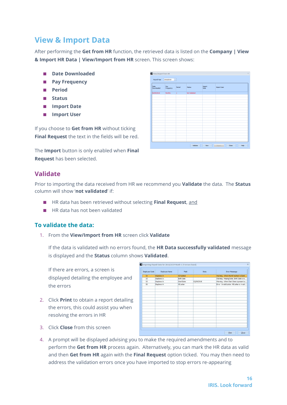## <span id="page-15-0"></span>**View & Import Data**

After performing the **Get from HR** function, the retrieved data is listed on the **Company | View & Import HR Data | View/Import from HR** screen. This screen shows:

- **Date Downloaded**
- **Pay Frequency**
- **Period**
- **Status**
- **Import Date**
- **Import User**

If you choose to **Get from HR** without ticking **Final Request** the text in the fields will be red.

The **Import** button is only enabled when **Final Request** has been selected.

## <span id="page-15-1"></span>**Validate**

Prior to importing the data received from HR we recommend you **Validate** the data. The **Status** column will show '**not validated**' if:

- HR data has been retrieved without selecting **Final Request**, and
- HR data has not been validated

## <span id="page-15-2"></span>**To validate the data:**

1. From the **View/Import from HR** screen click **Validate**

If the data is validated with no errors found, the **HR Data successfully validated** message is displayed and the **Status** column shows **Validated**.

If there are errors, a screen is displayed detailing the employee and the errors

2. Click **Print** to obtain a report detailing the errors, this could assist you when resolving the errors in HR

| <b>Employee Code</b> | Employee Name     | Field             | Data       | Error Messsage                              |
|----------------------|-------------------|-------------------|------------|---------------------------------------------|
| 32                   | <b>Stephens A</b> | <b>NI Number</b>  |            | Warning - When the NI Number is blank       |
| 32                   | Stephens A        | <b>Birth Date</b> |            | Warning - Missing Data. Birth Date is re    |
| 32                   | Stephens A        | <b>Start Date</b> | 02/04/2018 | Warning - When Start Date is present a      |
| 32                   | Stephens A        | NI Letter         |            | Error - Invalid Letter, NI Letter is invali |
|                      |                   |                   |            |                                             |
|                      |                   |                   |            |                                             |
|                      |                   |                   |            |                                             |
|                      |                   |                   |            |                                             |
|                      |                   |                   |            |                                             |
|                      |                   |                   |            |                                             |
|                      |                   |                   |            |                                             |
|                      |                   |                   |            |                                             |
|                      |                   |                   |            |                                             |
|                      |                   |                   |            |                                             |
|                      |                   |                   |            |                                             |
|                      |                   |                   |            |                                             |
|                      |                   |                   |            |                                             |
|                      |                   |                   |            |                                             |

- 3. Click **Close** from this screen
- 4. A prompt will be displayed advising you to make the required amendments and to perform the **Get from HR** process again. Alternatively, you can mark the HR data as valid and then **Get from HR** again with the **Final Request** option ticked. You may then need to address the validation errors once you have imported to stop errors re-appearing

| Payroll Year       | 2018/2019        | ×.     |               |                |             |
|--------------------|------------------|--------|---------------|----------------|-------------|
| Date<br>Downloaded | Pay<br>Frequency | Period | <b>Status</b> | Import<br>Date | Import User |
| 06/09/2018         | Monthly          | h      | Not Validated |                |             |
|                    |                  |        |               |                |             |
|                    |                  |        |               |                |             |
|                    |                  |        |               |                |             |
|                    |                  |        |               |                |             |
|                    |                  |        |               |                |             |
|                    |                  |        |               |                |             |
|                    |                  |        |               |                |             |
|                    |                  |        |               |                |             |
|                    |                  |        |               |                |             |
|                    |                  |        |               |                |             |
|                    |                  |        |               |                |             |
|                    |                  |        |               |                |             |
|                    |                  |        |               |                |             |
|                    |                  |        |               |                |             |
|                    |                  |        |               |                |             |
|                    |                  |        |               |                |             |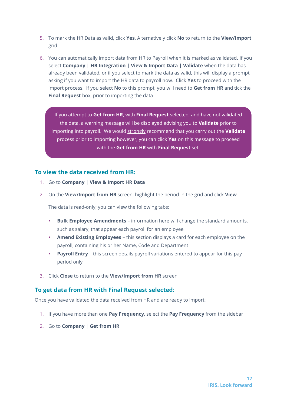- 5. To mark the HR Data as valid, click **Yes**. Alternatively click **No** to return to the **View/Import** grid.
- 6. You can automatically import data from HR to Payroll when it is marked as validated. If you select **Company | HR Integration | View & Import Data | Validate** when the data has already been validated, or if you select to mark the data as valid, this will display a prompt asking if you want to import the HR data to payroll now. Click **Yes** to proceed with the import process. If you select **No** to this prompt, you will need to **Get from HR** and tick the **Final Request** box, prior to importing the data

If you attempt to **Get from HR**, with **Final Request** selected, and have not validated the data, a warning message will be displayed advising you to **Validate** prior to importing into payroll. We would strongly recommend that you carry out the **Validate** process prior to importing however, you can click **Yes** on this message to proceed with the **Get from HR** with **Final Request** set.

#### <span id="page-16-0"></span>**To view the data received from HR:**

- 1. Go to **Company | View & Import HR Data**
- 2. On the **View/Import from HR** screen, highlight the period in the grid and click **View**

The data is read-only; you can view the following tabs:

- **Bulk Employee Amendments** information here will change the standard amounts, such as salary, that appear each payroll for an employee
- **Amend Existing Employees** this section displays a card for each employee on the payroll, containing his or her Name, Code and Department
- **Payroll Entry** this screen details payroll variations entered to appear for this pay period only
- 3. Click **Close** to return to the **View/Import from HR** screen

## <span id="page-16-1"></span>**To get data from HR with Final Request selected:**

Once you have validated the data received from HR and are ready to import:

- 1. If you have more than one **Pay Frequency**, select the **Pay Frequency** from the sidebar
- 2. Go to **Company** | **Get from HR**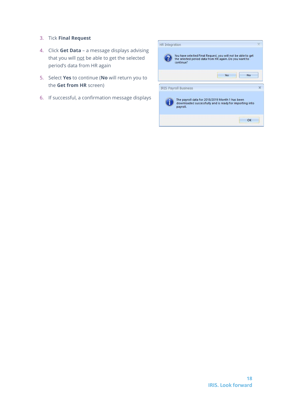#### 3. Tick **Final Request**

- 4. Click **Get Data** a message displays advising that you will not be able to get the selected period's data from HR again
- 5. Select **Yes** to continue (**No** will return you to the **Get from HR** screen)
- 6. If successful, a confirmation message displays

HR Integration × You have selected Final Request, you will not be able to get<br>the selected period data from HR again. Do you want to<br>continue? 2 Yes No **IRIS Payroll Business**  $\overline{\mathbf{x}}$ The payroll data for 2018/2019 Month 1 has been<br>downloaded successfully and is ready for importing into<br>payroll. OK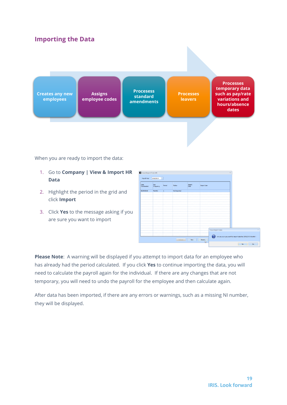## <span id="page-18-0"></span>**Importing the Data**



When you are ready to import the data:

- 1. Go to **Company | View & Import HR Data**
- 2. Highlight the period in the grid and click **Import**
- 3. Click **Yes** to the message asking if you are sure you want to import

| Date<br>Downloaded | Pay<br>Frequency | Period | Status       | Import<br>Date | Import User |                  |  |
|--------------------|------------------|--------|--------------|----------------|-------------|------------------|--|
| 06/09/2018         | Monthly          | H.     | Not Imported |                |             |                  |  |
|                    |                  |        |              |                |             |                  |  |
|                    |                  |        |              |                |             |                  |  |
|                    |                  |        |              |                |             |                  |  |
|                    |                  |        |              |                |             |                  |  |
|                    |                  |        |              |                |             |                  |  |
|                    |                  |        |              |                |             |                  |  |
|                    |                  |        |              |                |             |                  |  |
|                    |                  |        |              |                |             |                  |  |
|                    |                  |        |              |                |             |                  |  |
|                    |                  |        |              |                |             |                  |  |
|                    |                  |        |              |                |             |                  |  |
|                    |                  |        |              |                |             | View/Import Data |  |
|                    |                  |        |              |                |             |                  |  |

**Please Note**: A warning will be displayed if you attempt to import data for an employee who has already had the period calculated. If you click **Yes** to continue importing the data, you will need to calculate the payroll again for the individual. If there are any changes that are not temporary, you will need to undo the payroll for the employee and then calculate again.

After data has been imported, if there are any errors or warnings, such as a missing NI number, they will be displayed.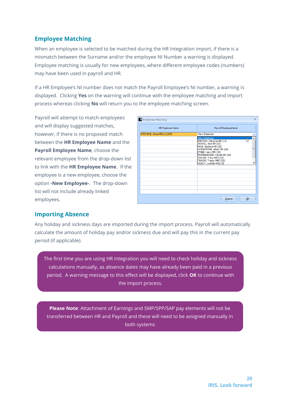## <span id="page-19-0"></span>**Employee Matching**

When an employee is selected to be matched during the HR Integration import, if there is a mismatch between the Surname and/or the employee NI Number a warning is displayed. Employee matching is usually for new employees, where different employee codes (numbers) may have been used in payroll and HR.

If a HR Employee's NI number does not match the Payroll Employee's NI number, a warning is displayed. Clicking **Yes** on the warning will continue with the employee matching and import process whereas clicking **No** will return you to the employee matching screen.

Payroll will attempt to match employees and will display suggested matches, however, if there is no proposed match between the **HR Employee Name** and the **Payroll Employee Name**, choose the relevant employee from the drop-down list to link with the **HR Employee Name**. If the employee is a new employee, choose the option **-New Employee-**. The drop-down list will not include already linked employees.

| <b>Ill</b> Employee Matching | ×                                                                                                                                                                                                                                                                      |
|------------------------------|------------------------------------------------------------------------------------------------------------------------------------------------------------------------------------------------------------------------------------------------------------------------|
| HR Employee Name             | Payroll EmployeeName                                                                                                                                                                                                                                                   |
| STEPHENS, Anna MRS (11079)   | -New Employee-                                                                                                                                                                                                                                                         |
|                              | -New Employee-<br>ZHIVAGO, Clarence DR (11)<br>JECKYLL, Bart DR (13)<br>HYDE, Beatrice MS (15)<br>LIVINGSTONE, Albert DR (16)<br>STABB, Harry MR (19)<br>FRANKENSTEIN, Farrah DR (20)<br>TAYLOR, Tracy MRS (21)<br>TAYLOR, Tracey MRS (31)<br>OGILVY, Lucinda MISS (4) |
|                              |                                                                                                                                                                                                                                                                        |
|                              |                                                                                                                                                                                                                                                                        |
|                              |                                                                                                                                                                                                                                                                        |
|                              |                                                                                                                                                                                                                                                                        |
|                              | пĸ<br>Cance                                                                                                                                                                                                                                                            |

## <span id="page-19-1"></span>**Importing Absence**

Any holiday and sickness days are imported during the import process. Payroll will automatically calculate the amount of holiday pay and/or sickness due and will pay this in the current pay period (if applicable).

The first time you are using HR Integration you will need to check holiday and sickness calculations manually, as absence dates may have already been paid in a previous period. A warning message to this effect will be displayed, click **OK** to continue with the import process.

**Please Note**: Attachment of Earnings and SMP/SPP/SAP pay elements will not be transferred between HR and Payroll and these will need to be assigned manually in both systems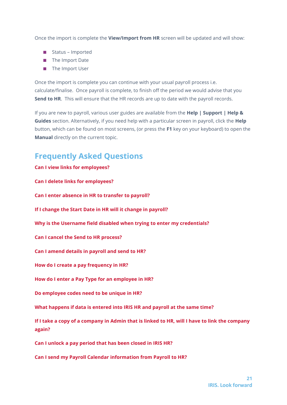Once the import is complete the **View/Import from HR** screen will be updated and will show:

- Status Imported
- The Import Date
- The Import User

Once the import is complete you can continue with your usual payroll process i.e. calculate/finalise. Once payroll is complete, to finish off the period we would advise that you **Send to HR**. This will ensure that the HR records are up to date with the payroll records.

If you are new to payroll, various user guides are available from the **Help | Support | Help & Guides** section. Alternatively, if you need help with a particular screen in payroll, click the **Help** button, which can be found on most screens, (or press the **F1** key on your keyboard) to open the **Manual** directly on the current topic.

## <span id="page-20-0"></span>**Frequently Asked Questions**

**[Can I view links for employees?](#page-21-0)**

**[Can I delete links for employees?](#page-21-1)**

**[Can I enter absence in HR to transfer to payroll?](#page-21-2)**

**[If I change the Start Date in HR will it change in payroll?](#page-21-3)**

**[Why is the Username field disabled when trying to enter my credentials?](#page-21-4)**

**[Can I cancel the Send to HR process?](#page-22-0)**

**[Can I amend details in payroll and send to HR?](#page-22-1)**

**[How do I create a pay frequency in HR?](#page-23-0)**

**[How do I enter a Pay Type for an employee in HR?](#page-23-1)**

**[Do employee codes need to be unique in HR?](#page-23-2)**

**[What happens if data is entered into IRIS HR and payroll at the same time?](#page-23-3)**

**[If I take a copy of a company in Admin that is linked to HR, will I have to link the company](#page-24-0)  [again?](#page-24-0)**

**[Can I unlock a pay period that has been closed in IRIS HR?](#page-24-1)**

**[Can I send my Payroll Calendar information from Payroll to HR?](#page-24-2)**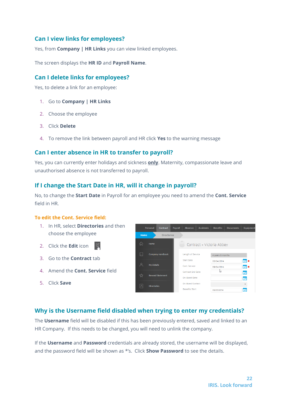## <span id="page-21-0"></span>**Can I view links for employees?**

Yes, from **Company | HR Links** you can view linked employees.

The screen displays the **HR ID** and **Payroll Name**.

#### <span id="page-21-1"></span>**Can I delete links for employees?**

Yes, to delete a link for an employee:

- 1. Go to **Company | HR Links**
- 2. Choose the employee
- 3. Click **Delete**
- 4. To remove the link between payroll and HR click **Yes** to the warning message

#### <span id="page-21-2"></span>**Can I enter absence in HR to transfer to payroll?**

Yes, you can currently enter holidays and sickness **only**. Maternity, compassionate leave and unauthorised absence is not transferred to payroll.

#### <span id="page-21-3"></span>**If I change the Start Date in HR, will it change in payroll?**

No, to change the **Start Date** in Payroll for an employee you need to amend the **Cont. Service** field in HR.

#### **To edit the Cont. Service field:**

- 1. In HR, select **Directories** and then choose the employee
- 2. Click the **Edit** icon
- 3. Go to the **Contract** tab
- 4. Amend the **Cont. Service** field
- 5. Click **Save**



#### <span id="page-21-4"></span>**Why is the Username field disabled when trying to enter my credentials?**

The **Username** field will be disabled if this has been previously entered, saved and linked to an HR Company. If this needs to be changed, you will need to unlink the company.

If the **Username** and **Password** credentials are already stored, the username will be displayed, and the password field will be shown as \*'s. Click **Show Password** to see the details.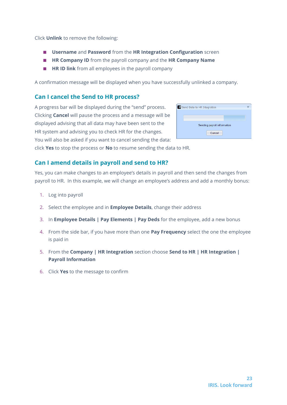Click **Unlink** to remove the following:

- **Username** and **Password** from the HR Integration Configuration screen
- **HR Company ID** from the payroll company and the **HR Company Name**
- **HR ID link** from all employees in the payroll company

A confirmation message will be displayed when you have successfully unlinked a company.

#### **Can I cancel the Send to HR process?**

<span id="page-22-0"></span>A progress bar will be displayed during the "send" process. Clicking **Cancel** will pause the process and a message will be displayed advising that all data may have been sent to the HR system and advising you to check HR for the changes. You will also be asked if you want to cancel sending the data:

| <b>1</b> Send Data to HR Integration |  |
|--------------------------------------|--|
|                                      |  |
|                                      |  |
| Sending payroll information          |  |
| Cancel                               |  |
|                                      |  |

click **Yes** to stop the process or **No** to resume sending the data to HR.

#### <span id="page-22-1"></span>**Can I amend details in payroll and send to HR?**

Yes, you can make changes to an employee's details in payroll and then send the changes from payroll to HR. In this example, we will change an employee's address and add a monthly bonus:

- 1. Log into payroll
- 2. Select the employee and in **Employee Details**, change their address
- 3. In **Employee Details | Pay Elements | Pay Deds** for the employee, add a new bonus
- 4. From the side bar, if you have more than one **Pay Frequency** select the one the employee is paid in
- 5. From the **Company | HR Integration** section choose **Send to HR | HR Integration | Payroll Information**
- 6. Click **Yes** to the message to confirm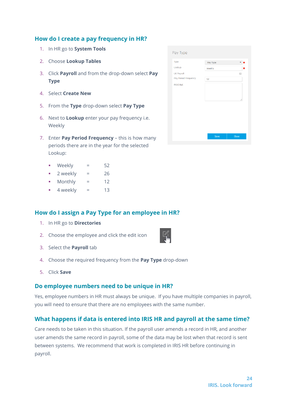#### <span id="page-23-0"></span>**How do I create a pay frequency in HR?**

- 1. In HR go to **System Tools**
- 2. Choose **Lookup Tables**
- 3. Click **Payroll** and from the drop-down select **Pay Type**
- 4. Select **Create New**
- 5. From the **Type** drop-down select **Pay Type**
- 6. Next to **Lookup** enter your pay frequency i.e. Weekly
- 7. Enter **Pay Period Frequency** this is how many periods there are in the year for the selected Lookup:
	- $\bullet$  Weekly = 52
	- $\bullet$  2 weekly = 26
	- Monthly  $=$  12
	- $4$  weekly  $=$  13

#### <span id="page-23-1"></span>**How do I assign a Pay Type for an employee in HR?**

- 1. In HR go to **Directories**
- 2. Choose the employee and click the edit icon



- 3. Select the **Payroll** tab
- 4. Choose the required frequency from the **Pay Type** drop-down
- 5. Click **Save**

#### <span id="page-23-2"></span>**Do employee numbers need to be unique in HR?**

Yes, employee numbers in HR must always be unique. If you have multiple companies in payroll, you will need to ensure that there are no employees with the same number.

#### <span id="page-23-3"></span>**What happens if data is entered into IRIS HR and payroll at the same time?**

Care needs to be taken in this situation. If the payroll user amends a record in HR, and another user amends the same record in payroll, some of the data may be lost when that record is sent between systems. We recommend that work is completed in IRIS HR before continuing in payroll.

| Type                 | Pay Type |    |
|----------------------|----------|----|
| Lookup               | Weekly   |    |
| UK Payroll           |          |    |
| Pay Period Frequency | 52       |    |
| PAYE Ref.            |          |    |
|                      |          |    |
|                      |          |    |
|                      |          | 11 |
|                      |          |    |
|                      |          |    |
|                      |          |    |
|                      |          |    |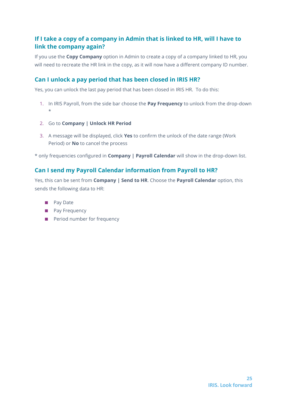## <span id="page-24-0"></span>**If I take a copy of a company in Admin that is linked to HR, will I have to link the company again?**

If you use the **Copy Company** option in Admin to create a copy of a company linked to HR, you will need to recreate the HR link in the copy, as it will now have a different company ID number.

## <span id="page-24-1"></span>**Can I unlock a pay period that has been closed in IRIS HR?**

Yes, you can unlock the last pay period that has been closed in IRIS HR. To do this:

- 1. In IRIS Payroll, from the side bar choose the **Pay Frequency** to unlock from the drop-down \*
- 2. Go to **Company | Unlock HR Period**
- 3. A message will be displayed, click **Yes** to confirm the unlock of the date range (Work Period) or **No** to cancel the process

\* only frequencies configured in **Company | Payroll Calendar** will show in the drop-down list.

## <span id="page-24-2"></span>**Can I send my Payroll Calendar information from Payroll to HR?**

Yes, this can be sent from **Company | Send to HR**. Choose the **Payroll Calendar** option, this sends the following data to HR:

- Pay Date
- Pay Frequency
- Period number for frequency